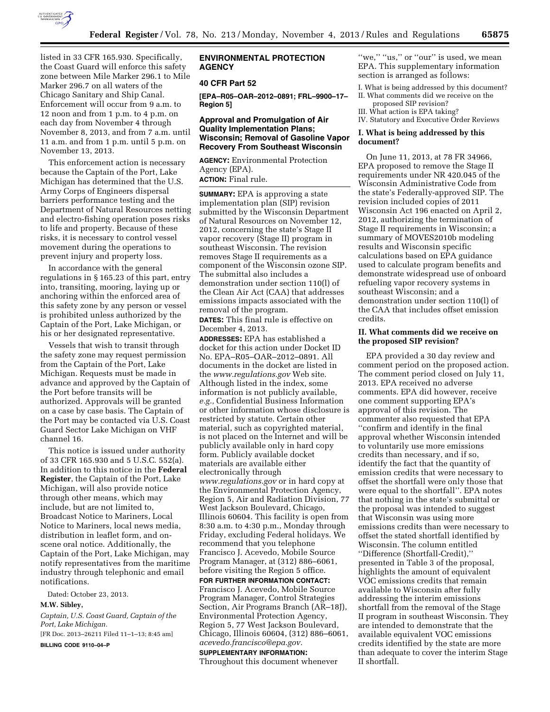

listed in 33 CFR 165.930. Specifically, the Coast Guard will enforce this safety zone between Mile Marker 296.1 to Mile Marker 296.7 on all waters of the Chicago Sanitary and Ship Canal. Enforcement will occur from 9 a.m. to 12 noon and from 1 p.m. to 4 p.m. on each day from November 4 through November 8, 2013, and from 7 a.m. until 11 a.m. and from 1 p.m. until 5 p.m. on November 13, 2013.

This enforcement action is necessary because the Captain of the Port, Lake Michigan has determined that the U.S. Army Corps of Engineers dispersal barriers performance testing and the Department of Natural Resources netting and electro-fishing operation poses risks to life and property. Because of these risks, it is necessary to control vessel movement during the operations to prevent injury and property loss.

In accordance with the general regulations in § 165.23 of this part, entry into, transiting, mooring, laying up or anchoring within the enforced area of this safety zone by any person or vessel is prohibited unless authorized by the Captain of the Port, Lake Michigan, or his or her designated representative.

Vessels that wish to transit through the safety zone may request permission from the Captain of the Port, Lake Michigan. Requests must be made in advance and approved by the Captain of the Port before transits will be authorized. Approvals will be granted on a case by case basis. The Captain of the Port may be contacted via U.S. Coast Guard Sector Lake Michigan on VHF channel 16.

This notice is issued under authority of 33 CFR 165.930 and 5 U.S.C. 552(a). In addition to this notice in the **Federal Register**, the Captain of the Port, Lake Michigan, will also provide notice through other means, which may include, but are not limited to, Broadcast Notice to Mariners, Local Notice to Mariners, local news media, distribution in leaflet form, and onscene oral notice. Additionally, the Captain of the Port, Lake Michigan, may notify representatives from the maritime industry through telephonic and email notifications.

Dated: October 23, 2013.

#### **M.W. Sibley,**

*Captain, U.S. Coast Guard, Captain of the Port, Lake Michigan.* 

[FR Doc. 2013–26211 Filed 11–1–13; 8:45 am]

**BILLING CODE 9110–04–P** 

# **ENVIRONMENTAL PROTECTION AGENCY**

# **40 CFR Part 52**

**[EPA–R05–OAR–2012–0891; FRL–9900–17– Region 5]** 

### **Approval and Promulgation of Air Quality Implementation Plans; Wisconsin; Removal of Gasoline Vapor Recovery From Southeast Wisconsin**

**AGENCY:** Environmental Protection Agency (EPA).

**ACTION:** Final rule.

**SUMMARY:** EPA is approving a state implementation plan (SIP) revision submitted by the Wisconsin Department of Natural Resources on November 12, 2012, concerning the state's Stage II vapor recovery (Stage II) program in southeast Wisconsin. The revision removes Stage II requirements as a component of the Wisconsin ozone SIP. The submittal also includes a demonstration under section 110(l) of the Clean Air Act (CAA) that addresses emissions impacts associated with the removal of the program.

**DATES:** This final rule is effective on December 4, 2013.

**ADDRESSES:** EPA has established a docket for this action under Docket ID No. EPA–R05–OAR–2012–0891. All documents in the docket are listed in the *[www.regulations.gov](http://www.regulations.gov)* Web site. Although listed in the index, some information is not publicly available, *e.g.,* Confidential Business Information or other information whose disclosure is restricted by statute. Certain other material, such as copyrighted material, is not placed on the Internet and will be publicly available only in hard copy form. Publicly available docket materials are available either electronically through *[www.regulations.gov](http://www.regulations.gov)* or in hard copy at the Environmental Protection Agency, Region 5, Air and Radiation Division, 77 West Jackson Boulevard, Chicago, Illinois 60604. This facility is open from 8:30 a.m. to 4:30 p.m., Monday through Friday, excluding Federal holidays. We recommend that you telephone Francisco J. Acevedo, Mobile Source Program Manager, at (312) 886–6061, before visiting the Region 5 office.

**FOR FURTHER INFORMATION CONTACT:**  Francisco J. Acevedo, Mobile Source Program Manager, Control Strategies Section, Air Programs Branch (AR–18J), Environmental Protection Agency, Region 5, 77 West Jackson Boulevard, Chicago, Illinois 60604, (312) 886–6061, *[acevedo.francisco@epa.gov.](mailto:acevedo.francisco@epa.gov)* 

# **SUPPLEMENTARY INFORMATION:**

Throughout this document whenever

"we," "us," or "our" is used, we mean EPA. This supplementary information section is arranged as follows:

I. What is being addressed by this document? II. What comments did we receive on the proposed SIP revision? III. What action is EPA taking?

IV. Statutory and Executive Order Reviews

### **I. What is being addressed by this document?**

On June 11, 2013, at 78 FR 34966, EPA proposed to remove the Stage II requirements under NR 420.045 of the Wisconsin Administrative Code from the state's Federally-approved SIP. The revision included copies of 2011 Wisconsin Act 196 enacted on April 2, 2012, authorizing the termination of Stage II requirements in Wisconsin; a summary of MOVES2010b modeling results and Wisconsin specific calculations based on EPA guidance used to calculate program benefits and demonstrate widespread use of onboard refueling vapor recovery systems in southeast Wisconsin; and a demonstration under section 110(l) of the CAA that includes offset emission credits.

### **II. What comments did we receive on the proposed SIP revision?**

EPA provided a 30 day review and comment period on the proposed action. The comment period closed on July 11, 2013. EPA received no adverse comments. EPA did however, receive one comment supporting EPA's approval of this revision. The commenter also requested that EPA ''confirm and identify in the final approval whether Wisconsin intended to voluntarily use more emissions credits than necessary, and if so, identify the fact that the quantity of emission credits that were necessary to offset the shortfall were only those that were equal to the shortfall''. EPA notes that nothing in the state's submittal or the proposal was intended to suggest that Wisconsin was using more emissions credits than were necessary to offset the stated shortfall identified by Wisconsin. The column entitled ''Difference (Shortfall-Credit),'' presented in Table 3 of the proposal, highlights the amount of equivalent VOC emissions credits that remain available to Wisconsin after fully addressing the interim emissions shortfall from the removal of the Stage II program in southeast Wisconsin. They are intended to demonstrate that the available equivalent VOC emissions credits identified by the state are more than adequate to cover the interim Stage II shortfall.